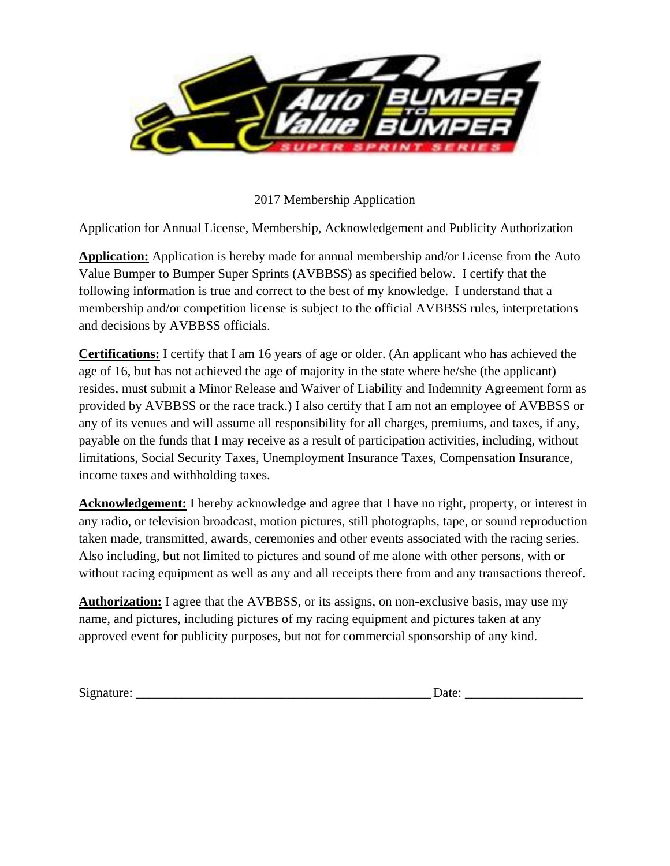

2017 Membership Application

Application for Annual License, Membership, Acknowledgement and Publicity Authorization

**Application:** Application is hereby made for annual membership and/or License from the Auto Value Bumper to Bumper Super Sprints (AVBBSS) as specified below. I certify that the following information is true and correct to the best of my knowledge. I understand that a membership and/or competition license is subject to the official AVBBSS rules, interpretations and decisions by AVBBSS officials.

**Certifications:** I certify that I am 16 years of age or older. (An applicant who has achieved the age of 16, but has not achieved the age of majority in the state where he/she (the applicant) resides, must submit a Minor Release and Waiver of Liability and Indemnity Agreement form as provided by AVBBSS or the race track.) I also certify that I am not an employee of AVBBSS or any of its venues and will assume all responsibility for all charges, premiums, and taxes, if any, payable on the funds that I may receive as a result of participation activities, including, without limitations, Social Security Taxes, Unemployment Insurance Taxes, Compensation Insurance, income taxes and withholding taxes.

**Acknowledgement:** I hereby acknowledge and agree that I have no right, property, or interest in any radio, or television broadcast, motion pictures, still photographs, tape, or sound reproduction taken made, transmitted, awards, ceremonies and other events associated with the racing series. Also including, but not limited to pictures and sound of me alone with other persons, with or without racing equipment as well as any and all receipts there from and any transactions thereof.

**Authorization:** I agree that the AVBBSS, or its assigns, on non-exclusive basis, may use my name, and pictures, including pictures of my racing equipment and pictures taken at any approved event for publicity purposes, but not for commercial sponsorship of any kind.

Signature:  $\Box$ 

| )ate: |  |  |  |  |
|-------|--|--|--|--|
|       |  |  |  |  |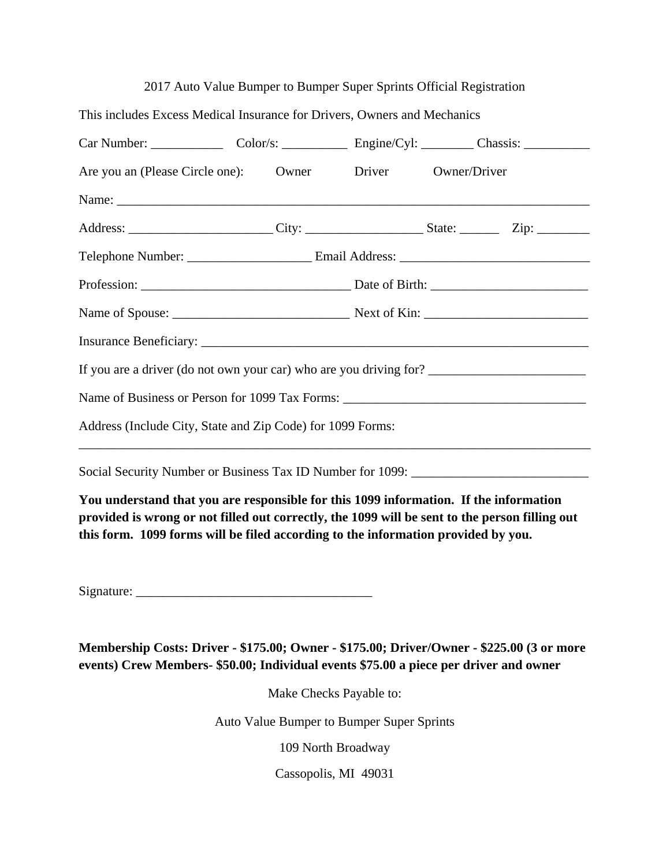|                                                                                   |  | 2017 Auto Value Bumper to Bumper Super Sprints Official Registration |  |  |  |
|-----------------------------------------------------------------------------------|--|----------------------------------------------------------------------|--|--|--|
| This includes Excess Medical Insurance for Drivers, Owners and Mechanics          |  |                                                                      |  |  |  |
| Car Number: Color/s: Color/s: Engine/Cyl: Chassis: Chassis: Chassis:              |  |                                                                      |  |  |  |
| Are you an (Please Circle one): Owner Driver Owner/Driver                         |  |                                                                      |  |  |  |
|                                                                                   |  |                                                                      |  |  |  |
|                                                                                   |  |                                                                      |  |  |  |
|                                                                                   |  |                                                                      |  |  |  |
|                                                                                   |  |                                                                      |  |  |  |
|                                                                                   |  |                                                                      |  |  |  |
|                                                                                   |  |                                                                      |  |  |  |
|                                                                                   |  |                                                                      |  |  |  |
|                                                                                   |  |                                                                      |  |  |  |
| Address (Include City, State and Zip Code) for 1099 Forms:                        |  |                                                                      |  |  |  |
| Social Security Number or Business Tax ID Number for 1099: ______________________ |  |                                                                      |  |  |  |

**You understand that you are responsible for this 1099 information. If the information provided is wrong or not filled out correctly, the 1099 will be sent to the person filling out this form. 1099 forms will be filed according to the information provided by you.**

 $Signature:$ 

**Membership Costs: Driver - \$175.00; Owner - \$175.00; Driver/Owner - \$225.00 (3 or more events) Crew Members- \$50.00; Individual events \$75.00 a piece per driver and owner**

Make Checks Payable to:

Auto Value Bumper to Bumper Super Sprints

109 North Broadway

Cassopolis, MI 49031